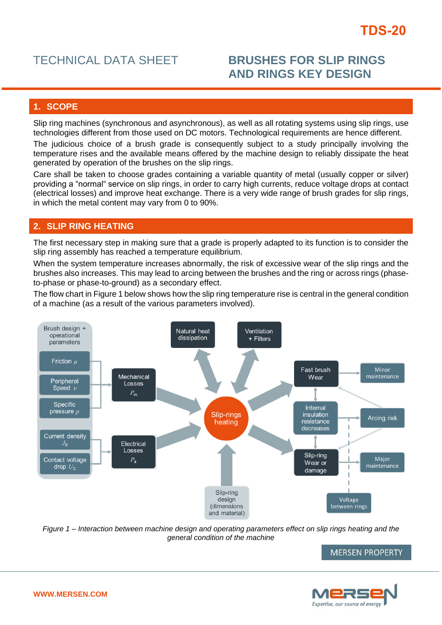# TECHNICAL DATA SHEET **BRUSHES FOR SLIP RINGS AND RINGS KEY DESIGN**

# **1. SCOPE**

Slip ring machines (synchronous and asynchronous), as well as all rotating systems using slip rings, use technologies different from those used on DC motors. Technological requirements are hence different.

The judicious choice of a brush grade is consequently subject to a study principally involving the temperature rises and the available means offered by the machine design to reliably dissipate the heat generated by operation of the brushes on the slip rings.

Care shall be taken to choose grades containing a variable quantity of metal (usually copper or silver) providing a "normal" service on slip rings, in order to carry high currents, reduce voltage drops at contact (electrical losses) and improve heat exchange. There is a very wide range of brush grades for slip rings, in which the metal content may vary from 0 to 90%.

### **2. SLIP RING HEATING**

The first necessary step in making sure that a grade is properly adapted to its function is to consider the slip ring assembly has reached a temperature equilibrium.

When the system temperature increases abnormally, the risk of excessive wear of the slip rings and the brushes also increases. This may lead to arcing between the brushes and the ring or across rings (phaseto-phase or phase-to-ground) as a secondary effect.

The flow chart in Figure 1 below shows how the slip ring temperature rise is central in the general condition of a machine (as a result of the various parameters involved).



*Figure 1 – Interaction between machine design and operating parameters effect on slip rings heating and the general condition of the machine*

**MERSEN PROPERTY** 

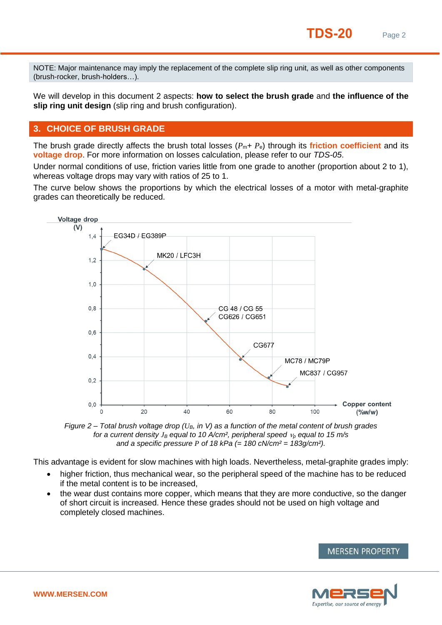NOTE: Major maintenance may imply the replacement of the complete slip ring unit, as well as other components (brush-rocker, brush-holders…).

We will develop in this document 2 aspects: **how to select the brush grade** and **the influence of the slip ring unit design** (slip ring and brush configuration).

# **3. CHOICE OF BRUSH GRADE**

The brush grade directly affects the brush total losses  $(P_m + P_e)$  through its **friction coefficient** and its **voltage drop**. For more information on losses calculation, please refer to our *TDS-05*.

Under normal conditions of use, friction varies little from one grade to another (proportion about 2 to 1), whereas voltage drops may vary with ratios of 25 to 1.

The curve below shows the proportions by which the electrical losses of a motor with metal-graphite grades can theoretically be reduced.



*Figure 2 – Total brush voltage drop (UB, in V) as a function of the metal content of brush grades for a current density*  $J_B$  *equal to 10 A/cm<sup>2</sup>, peripheral speed*  $v_p$  *equal to 15 m/s and a specific pressure P of 18 kPa (= 180 cN/cm² = 183g/cm²).*

This advantage is evident for slow machines with high loads. Nevertheless, metal-graphite grades imply:

- higher friction, thus mechanical wear, so the peripheral speed of the machine has to be reduced if the metal content is to be increased,
- the wear dust contains more copper, which means that they are more conductive, so the danger of short circuit is increased. Hence these grades should not be used on high voltage and completely closed machines.



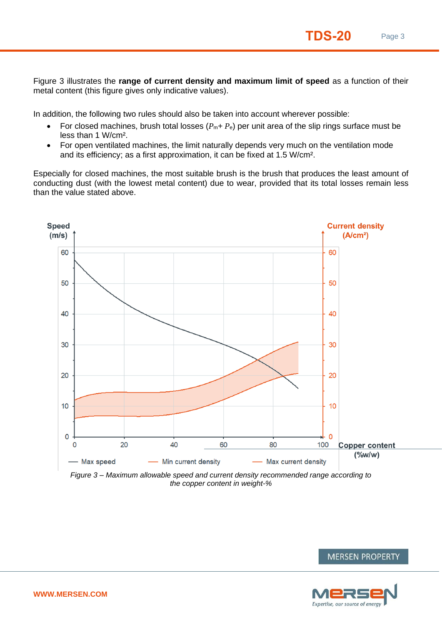Figure 3 illustrates the **range of current density and maximum limit of speed** as a function of their metal content (this figure gives only indicative values).

In addition, the following two rules should also be taken into account wherever possible:

- For closed machines, brush total losses  $(P_m + P_e)$  per unit area of the slip rings surface must be less than 1 W/cm².
- For open ventilated machines, the limit naturally depends very much on the ventilation mode and its efficiency; as a first approximation, it can be fixed at 1.5 W/cm².

Especially for closed machines, the most suitable brush is the brush that produces the least amount of conducting dust (with the lowest metal content) due to wear, provided that its total losses remain less than the value stated above.



*Figure 3 – Maximum allowable speed and current density recommended range according to the copper content in weight-%*



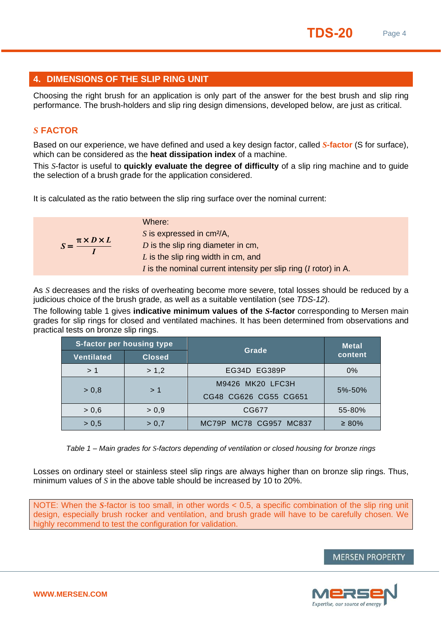# **4. DIMENSIONS OF THE SLIP RING UNIT**

Choosing the right brush for an application is only part of the answer for the best brush and slip ring performance. The brush-holders and slip ring design dimensions, developed below, are just as critical.

# *S* **FACTOR**

Based on our experience, we have defined and used a key design factor, called *S***-factor** (S for surface), which can be considered as the **heat dissipation index** of a machine.

This *S*-factor is useful to **quickly evaluate the degree of difficulty** of a slip ring machine and to guide the selection of a brush grade for the application considered.

It is calculated as the ratio between the slip ring surface over the nominal current:

| $S = \frac{\pi \times D \times L}{I}$ | Where:<br>S is expressed in $cm^2/A$ ,<br>$D$ is the slip ring diameter in cm,                            |
|---------------------------------------|-----------------------------------------------------------------------------------------------------------|
|                                       | $L$ is the slip ring width in cm, and<br>I is the nominal current intensity per slip ring (I rotor) in A. |

As *S* decreases and the risks of overheating become more severe, total losses should be reduced by a judicious choice of the brush grade, as well as a suitable ventilation (see *TDS-12*).

The following table 1 gives **indicative minimum values of the** *S***-factor** corresponding to Mersen main grades for slip rings for closed and ventilated machines. It has been determined from observations and practical tests on bronze slip rings.

| S-factor per housing type |               | Grade                  | <b>Metal</b> |
|---------------------------|---------------|------------------------|--------------|
| <b>Ventilated</b>         | <b>Closed</b> |                        | content      |
| >1                        | > 1,2         | EG34D EG389P           | $0\%$        |
| > 0.8                     | >1            | M9426 MK20 LFC3H       | 5%-50%       |
|                           |               | CG48 CG626 CG55 CG651  |              |
| > 0.6                     | > 0.9         | CG677                  | 55-80%       |
| > 0.5                     | > 0.7         | MC79P MC78 CG957 MC837 | $\geq 80\%$  |

*Table 1 – Main grades for S-factors depending of ventilation or closed housing for bronze rings*

Losses on ordinary steel or stainless steel slip rings are always higher than on bronze slip rings. Thus, minimum values of *S* in the above table should be increased by 10 to 20%.

NOTE: When the *S*-factor is too small, in other words < 0.5, a specific combination of the slip ring unit design, especially brush rocker and ventilation, and brush grade will have to be carefully chosen. We highly recommend to test the configuration for validation.

#### **MERSEN PROPERTY**

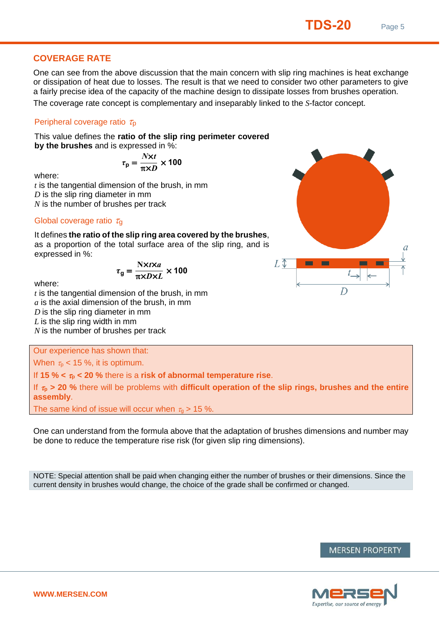# **COVERAGE RATE**

One can see from the above discussion that the main concern with slip ring machines is heat exchange or dissipation of heat due to losses. The result is that we need to consider two other parameters to give a fairly precise idea of the capacity of the machine design to dissipate losses from brushes operation. The coverage rate concept is complementary and inseparably linked to the *S*-factor concept.

#### Peripheral coverage ratio  $\tau_{\rm p}$

This value defines the **ratio of the slip ring perimeter covered by the brushes** and is expressed in %:

$$
\tau_{\rm p} = \frac{N \times t}{\pi \times D} \times 100
$$

where:

*t* is the tangential dimension of the brush, in mm *D* is the slip ring diameter in mm *N* is the number of brushes per track

Global coverage ratio  $\tau_{q}$ 

It defines **the ratio of the slip ring area covered by the brushes**, as a proportion of the total surface area of the slip ring, and is expressed in %:

$$
\tau_{\rm g} = \frac{\text{N} \times t \times a}{\pi \times D \times L} \times 100
$$

where:

*t* is the tangential dimension of the brush, in mm *a* is the axial dimension of the brush, in mm *D* is the slip ring diameter in mm *L* is the slip ring width in mm *N* is the number of brushes per track

Our experience has shown that:

When  $\tau_{\text{p}}$  < 15 %, it is optimum.

If **15** %  $\lt \tau_0$   $\lt 20$  % there is a **risk of abnormal temperature rise.** 

If  $\tau_{\rm p}$  > 20 % there will be problems with **difficult operation of the slip rings, brushes and the entire assembly**.

The same kind of issue will occur when  $\tau_q > 15$  %.

One can understand from the formula above that the adaptation of brushes dimensions and number may be done to reduce the temperature rise risk (for given slip ring dimensions).

NOTE: Special attention shall be paid when changing either the number of brushes or their dimensions. Since the current density in brushes would change, the choice of the grade shall be confirmed or changed.





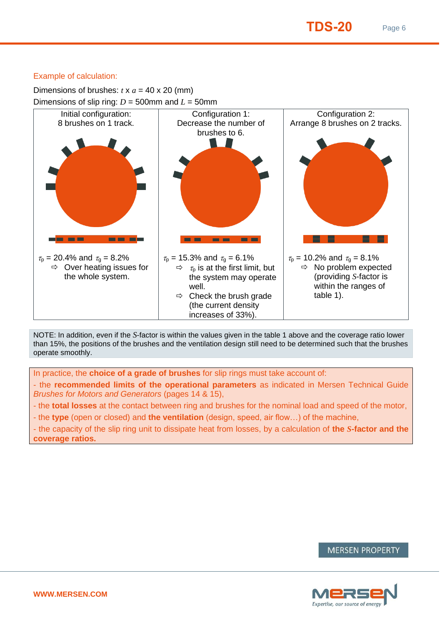#### Example of calculation:

Dimensions of brushes:  $t \times a = 40 \times 20$  (mm)



NOTE: In addition, even if the *S*-factor is within the values given in the table 1 above and the coverage ratio lower than 15%, the positions of the brushes and the ventilation design still need to be determined such that the brushes operate smoothly.

In practice, the **choice of a grade of brushes** for slip rings must take account of:

- the **recommended limits of the operational parameters** as indicated in Mersen Technical Guide *Brushes for Motors and Generators* (pages 14 & 15),
- the **total losses** at the contact between ring and brushes for the nominal load and speed of the motor,
- the **type** (open or closed) and **the ventilation** (design, speed, air flow…) of the machine,

- the capacity of the slip ring unit to dissipate heat from losses, by a calculation of **the** *S***-factor and the coverage ratios.**



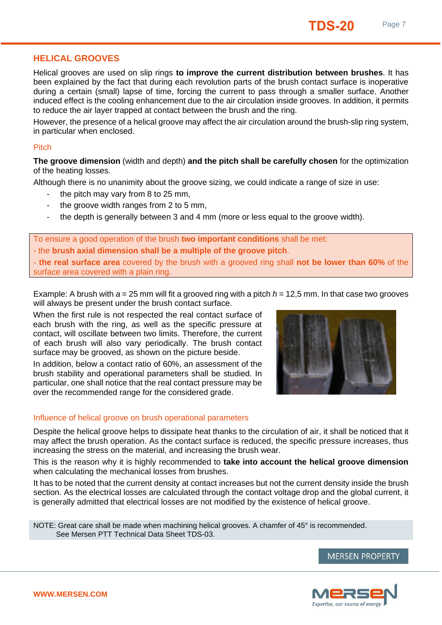## **HELICAL GROOVES**

Helical grooves are used on slip rings **to improve the current distribution between brushes**. It has been explained by the fact that during each revolution parts of the brush contact surface is inoperative during a certain (small) lapse of time, forcing the current to pass through a smaller surface. Another induced effect is the cooling enhancement due to the air circulation inside grooves. In addition, it permits to reduce the air layer trapped at contact between the brush and the ring.

However, the presence of a helical groove may affect the air circulation around the brush-slip ring system, in particular when enclosed.

#### **Pitch**

**The groove dimension** (width and depth) **and the pitch shall be carefully chosen** for the optimization of the heating losses.

Although there is no unanimity about the groove sizing, we could indicate a range of size in use:

- the pitch may vary from 8 to 25 mm.
- the groove width ranges from 2 to 5 mm,
- the depth is generally between 3 and 4 mm (more or less equal to the groove width).

To ensure a good operation of the brush **two important conditions** shall be met: - the **brush axial dimension shall be a multiple of the groove pitch**.

- **the real surface area** covered by the brush with a grooved ring shall **not be lower than 60%** of the surface area covered with a plain ring.

Example: A brush with  $a = 25$  mm will fit a grooved ring with a pitch  $h = 12.5$  mm. In that case two grooves will always be present under the brush contact surface.

When the first rule is not respected the real contact surface of each brush with the ring, as well as the specific pressure at contact, will oscillate between two limits. Therefore, the current of each brush will also vary periodically. The brush contact surface may be grooved, as shown on the picture beside.

In addition, below a contact ratio of 60%, an assessment of the brush stability and operational parameters shall be studied. In particular, one shall notice that the real contact pressure may be over the recommended range for the considered grade.

#### Influence of helical groove on brush operational parameters

Despite the helical groove helps to dissipate heat thanks to the circulation of air, it shall be noticed that it may affect the brush operation. As the contact surface is reduced, the specific pressure increases, thus increasing the stress on the material, and increasing the brush wear.

This is the reason why it is highly recommended to **take into account the helical groove dimension** when calculating the mechanical losses from brushes.

It has to be noted that the current density at contact increases but not the current density inside the brush section. As the electrical losses are calculated through the contact voltage drop and the global current, it is generally admitted that electrical losses are not modified by the existence of helical groove.

NOTE: Great care shall be made when machining helical grooves. A chamfer of 45° is recommended. See Mersen PTT Technical Data Sheet TDS-03.





**MERSEN PROPERTY**